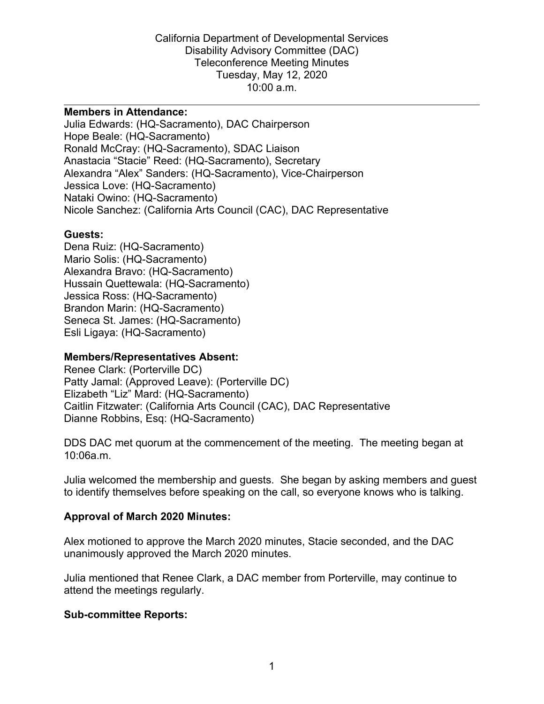#### **Members in Attendance:**

Julia Edwards: (HQ-Sacramento), DAC Chairperson Hope Beale: (HQ-Sacramento) Ronald McCray: (HQ-Sacramento), SDAC Liaison Anastacia "Stacie" Reed: (HQ-Sacramento), Secretary Alexandra "Alex" Sanders: (HQ-Sacramento), Vice-Chairperson Jessica Love: (HQ-Sacramento) Nataki Owino: (HQ-Sacramento) Nicole Sanchez: (California Arts Council (CAC), DAC Representative

#### **Guests:**

Dena Ruiz: (HQ-Sacramento) Mario Solis: (HQ-Sacramento) Alexandra Bravo: (HQ-Sacramento) Hussain Quettewala: (HQ-Sacramento) Jessica Ross: (HQ-Sacramento) Brandon Marin: (HQ-Sacramento) Seneca St. James: (HQ-Sacramento) Esli Ligaya: (HQ-Sacramento)

#### **Members/Representatives Absent:**

Renee Clark: (Porterville DC) Patty Jamal: (Approved Leave): (Porterville DC) Elizabeth "Liz" Mard: (HQ-Sacramento) Caitlin Fitzwater: (California Arts Council (CAC), DAC Representative Dianne Robbins, Esq: (HQ-Sacramento)

DDS DAC met quorum at the commencement of the meeting. The meeting began at 10:06a.m.

Julia welcomed the membership and guests. She began by asking members and guest to identify themselves before speaking on the call, so everyone knows who is talking.

#### **Approval of March 2020 Minutes:**

Alex motioned to approve the March 2020 minutes, Stacie seconded, and the DAC unanimously approved the March 2020 minutes.

Julia mentioned that Renee Clark, a DAC member from Porterville, may continue to attend the meetings regularly.

#### **Sub-committee Reports:**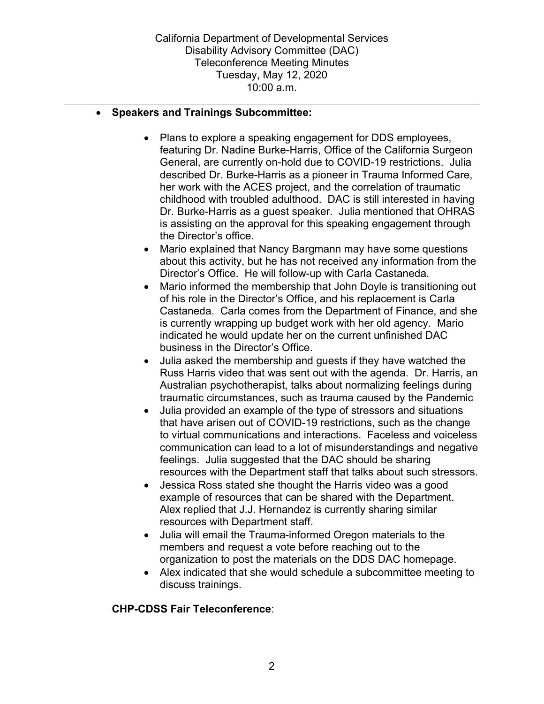### • **Speakers and Trainings Subcommittee:**

• Plans to explore a speaking engagement for DDS employees, featuring Dr. Nadine Burke-Harris, Office of the California Surgeon General, are currently on-hold due to COVID-19 restrictions. Julia described Dr. Burke-Harris as a pioneer in Trauma Informed Care, her work with the ACES project, and the correlation of traumatic childhood with troubled adulthood. DAC is still interested in having Dr. Burke-Harris as a guest speaker. Julia mentioned that OHRAS is assisting on the approval for this speaking engagement through the Director's office.

- Mario explained that Nancy Bargmann may have some questions about this activity, but he has not received any information from the Director's Office. He will follow-up with Carla Castaneda.
- Mario informed the membership that John Doyle is transitioning out of his role in the Director's Office, and his replacement is Carla Castaneda. Carla comes from the Department of Finance, and she is currently wrapping up budget work with her old agency. Mario indicated he would update her on the current unfinished DAC business in the Director's Office.
- Julia asked the membership and guests if they have watched the Russ Harris video that was sent out with the agenda. Dr. Harris, an Australian psychotherapist, talks about normalizing feelings during traumatic circumstances, such as trauma caused by the Pandemic
- Julia provided an example of the type of stressors and situations that have arisen out of COVID-19 restrictions, such as the change to virtual communications and interactions. Faceless and voiceless communication can lead to a lot of misunderstandings and negative feelings. Julia suggested that the DAC should be sharing resources with the Department staff that talks about such stressors.
- Jessica Ross stated she thought the Harris video was a good example of resources that can be shared with the Department. Alex replied that J.J. Hernandez is currently sharing similar resources with Department staff.
- Julia will email the Trauma-informed Oregon materials to the members and request a vote before reaching out to the organization to post the materials on the DDS DAC homepage.
- Alex indicated that she would schedule a subcommittee meeting to discuss trainings.

# **CHP-CDSS Fair Teleconference**: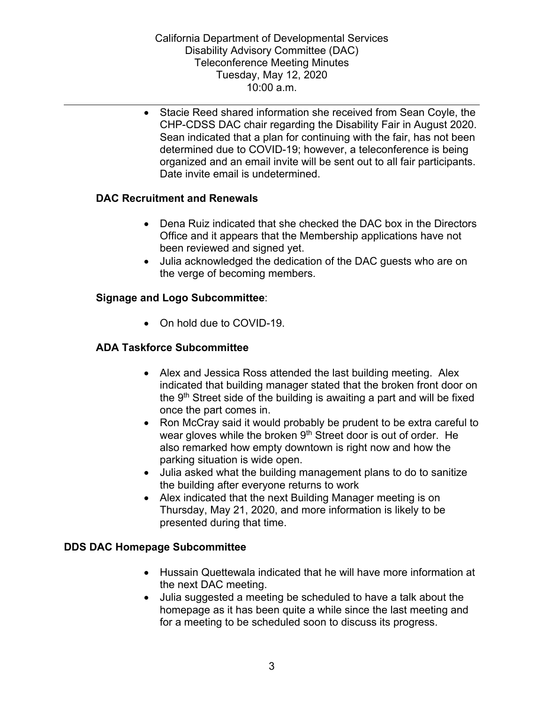• Stacie Reed shared information she received from Sean Coyle, the CHP-CDSS DAC chair regarding the Disability Fair in August 2020. Sean indicated that a plan for continuing with the fair, has not been determined due to COVID-19; however, a teleconference is being organized and an email invite will be sent out to all fair participants. Date invite email is undetermined.

# **DAC Recruitment and Renewals**

- Dena Ruiz indicated that she checked the DAC box in the Directors Office and it appears that the Membership applications have not been reviewed and signed yet.
- Julia acknowledged the dedication of the DAC guests who are on the verge of becoming members.

### **Signage and Logo Subcommittee**:

• On hold due to COVID-19.

### **ADA Taskforce Subcommittee**

- Alex and Jessica Ross attended the last building meeting. Alex indicated that building manager stated that the broken front door on the  $9<sup>th</sup>$  Street side of the building is awaiting a part and will be fixed once the part comes in.
- Ron McCray said it would probably be prudent to be extra careful to wear gloves while the broken 9<sup>th</sup> Street door is out of order. He also remarked how empty downtown is right now and how the parking situation is wide open.
- Julia asked what the building management plans to do to sanitize the building after everyone returns to work
- Alex indicated that the next Building Manager meeting is on Thursday, May 21, 2020, and more information is likely to be presented during that time.

#### **DDS DAC Homepage Subcommittee**

- Hussain Quettewala indicated that he will have more information at the next DAC meeting.
- Julia suggested a meeting be scheduled to have a talk about the homepage as it has been quite a while since the last meeting and for a meeting to be scheduled soon to discuss its progress.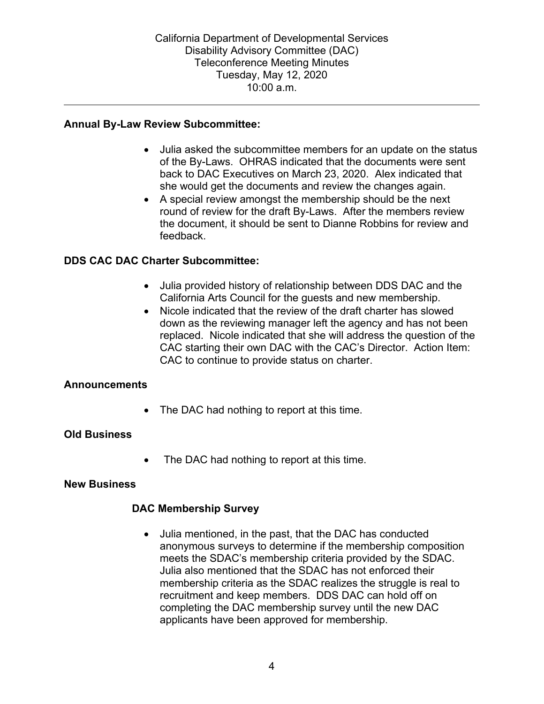### **Annual By-Law Review Subcommittee:**

• Julia asked the subcommittee members for an update on the status of the By-Laws. OHRAS indicated that the documents were sent back to DAC Executives on March 23, 2020. Alex indicated that she would get the documents and review the changes again.

• A special review amongst the membership should be the next round of review for the draft By-Laws. After the members review the document, it should be sent to Dianne Robbins for review and feedback.

### **DDS CAC DAC Charter Subcommittee:**

- Julia provided history of relationship between DDS DAC and the California Arts Council for the guests and new membership.
- Nicole indicated that the review of the draft charter has slowed down as the reviewing manager left the agency and has not been replaced. Nicole indicated that she will address the question of the CAC starting their own DAC with the CAC's Director. Action Item: CAC to continue to provide status on charter.

#### **Announcements**

The DAC had nothing to report at this time.

# **Old Business**

• The DAC had nothing to report at this time.

#### **New Business**

#### **DAC Membership Survey**

• Julia mentioned, in the past, that the DAC has conducted anonymous surveys to determine if the membership composition meets the SDAC's membership criteria provided by the SDAC. Julia also mentioned that the SDAC has not enforced their membership criteria as the SDAC realizes the struggle is real to recruitment and keep members. DDS DAC can hold off on completing the DAC membership survey until the new DAC applicants have been approved for membership.